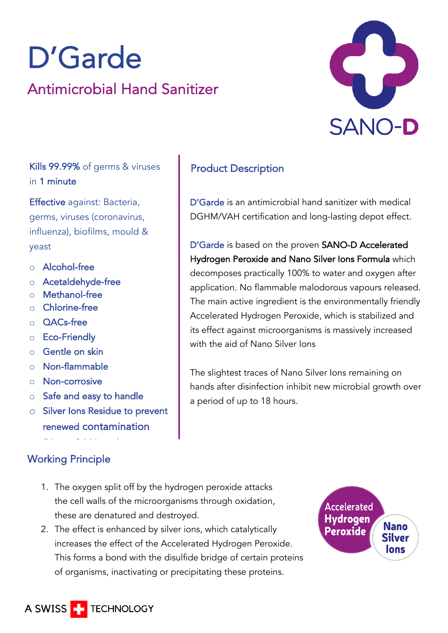# D'Garde<br>Antimicrobial Hand Sanitizer



Kills 99.99% of germs & viruses in 1 minute

Effective against: Bacteria, germs, viruses (coronavirus, influenza), biofilms, mould & yeast

- o Alcohol-free
- o Acetaldehyde-free
- o Methanol-free
- o Chlorine-free
- o QACs-free
- o Eco-Friendly
- o Gentle on skin
- o Non-flammable
- o Non-corrosive
- o Safe and easy to handle

(Up to 24 Hours)

o Silver Ions Residue to prevent renewed contamination

## Working Principle

## Product Description

D'Garde is an antimicrobial hand sanitizer with medical DGHM/VAH certification and long-lasting depot effect.

D'Garde is based on the proven SANO-D Accelerated Hydrogen Peroxide and Nano Silver Ions Formula which decomposes practically 100% to water and oxygen after application. No flammable malodorous vapours released. The main active ingredient is the environmentally friendly Accelerated Hydrogen Peroxide, which is stabilized and its effect against microorganisms is massively increased with the aid of Nano Silver Ions

The slightest traces of Nano Silver Ions remaining on hands after disinfection inhibit new microbial growth over a period of up to 18 hours.

- 1. The oxygen split off by the hydrogen peroxide attacks the cell walls of the microorganisms through oxidation, these are denatured and destroyed.
- 2. The effect is enhanced by silver ions, which catalytically increases the effect of the Accelerated Hydrogen Peroxide. This forms a bond with the disulfide bridge of certain proteins of organisms, inactivating or precipitating these proteins.